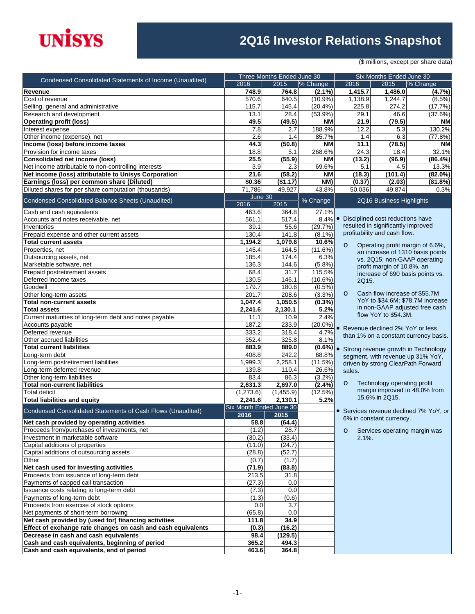# **UNISYS**

### **2Q16 Investor Relations Snapshot**

(\$ millions, except per share data)

|                                                                 | Three Months Ended June 30 |            |               | Six Months Ended June 30 |                                    |                                        |
|-----------------------------------------------------------------|----------------------------|------------|---------------|--------------------------|------------------------------------|----------------------------------------|
| <b>Condensed Consolidated Statements of Income (Unaudited)</b>  | 2016                       | 2015       | % Change      | 2016                     | 2015                               | % Change                               |
| Revenue                                                         | 748.9                      | 764.8      | $(2.1\%)$     | 1,415.7                  | 1,486.0                            | (4.7%)                                 |
| Cost of revenue                                                 | 570.6                      | 640.5      | $(10.9\%)$    | 1,138.9                  | 1,244.7                            | $(8.5\%)$                              |
| Selling, general and administrative                             | 115.7                      | 145.4      | (20.4% )      | 225.8                    | 274.2                              | (17.7%)                                |
| Research and development                                        | 13.1                       | 28.4       | $(53.9\%)$    | 29.1                     | 46.6                               | (37.6%)                                |
| <b>Operating profit (loss)</b>                                  | 49.5                       | (49.5)     | <b>NM</b>     | 21.9                     | (79.5)                             | <b>NM</b>                              |
| Interest expense                                                | 7.8                        | 2.7        | 188.9%        | 12.2                     | 5.3                                | 130.2%                                 |
| Other income (expense), net                                     | 2.6                        | 1.4        | 85.7%         | 1.4                      | 6.3                                | (77.8%)                                |
| Income (loss) before income taxes                               | 44.3                       | (50.8)     | <b>NM</b>     | 11.1                     | (78.5)                             | <b>NM</b>                              |
| Provision for income taxes                                      | 18.8                       | 5.1        | 268.6%        | 24.3                     | 18.4                               | 32.1%                                  |
| <b>Consolidated net income (loss)</b>                           | 25.5                       | (55.9)     | <b>NM</b>     | (13.2)                   | (96.9)                             | (86.4%)                                |
| Net income attributable to non-controlling interests            | 3.9                        | 2.3        | 69.6%         | 5.1                      | 4.5                                | 13.3%                                  |
| Net income (loss) attributable to Unisys Corporation            | 21.6                       | (58.2)     | <b>NM</b>     | (18.3)                   | (101.4)                            | $(82.0\%)$                             |
| Earnings (loss) per common share (Diluted)                      | \$0.36                     | (\$1.17)   | NM)           | (0.37)                   | (2.03)                             | (81.8%)                                |
| Diluted shares for per share computation (thousands)            | 71,786                     | 49,927     | 43.8%         | 50,036                   | 49,874                             | 0.3%                                   |
|                                                                 | June 30                    |            |               |                          |                                    |                                        |
| Condensed Consolidated Balance Sheets (Unaudited)               | 2016                       | 2015       | % Change      |                          | 2Q16 Business Highlights           |                                        |
|                                                                 | 463.6                      | 364.8      |               |                          |                                    |                                        |
| Cash and cash equivalents<br>Accounts and notes receivable, net | 561.1                      | 517.4      | 27.1%<br>8.4% | $\bullet$                | Disciplined cost reductions have   |                                        |
| Inventories                                                     | 39.1                       | 55.6       | (29.7%)       |                          | resulted in significantly improved |                                        |
|                                                                 | 130.4                      | 141.8      | $(8.1\%)$     |                          | profitability and cash flow.       |                                        |
| Prepaid expense and other current assets                        | 1,194.2                    | 1,079.6    | 10.6%         |                          |                                    |                                        |
| <b>Total current assets</b>                                     |                            |            |               | $\circ$                  |                                    | Operating profit margin of 6.6%,       |
| Properties, net                                                 | 145.4                      | 164.5      | (11.6%)       |                          |                                    | an increase of 1310 basis points       |
| Outsourcing assets, net                                         | 185.4                      | 174.4      | 6.3%          |                          | vs. 2Q15; non-GAAP operating       |                                        |
| Marketable software, net                                        | 136.3                      | 144.6      | (5.8%)        |                          | profit margin of 10.8%, an         |                                        |
| Prepaid postretirement assets                                   | 68.4                       | 31.7       | 115.5%        |                          |                                    | increase of 690 basis points vs.       |
| Deferred income taxes                                           | 130.5                      | 146.1      | $(10.6\%)$    | 2Q15.                    |                                    |                                        |
| Goodwill                                                        | 179.7                      | 180.6      | $(0.5\%)$     |                          |                                    |                                        |
| Other long-term assets                                          | 201.7                      | 208.6      | (3.3%)        | $\circ$                  | Cash flow increase of \$55.7M      |                                        |
| <b>Total non-current assets</b>                                 | 1,047.4                    | 1,050.5    | $(0.3\%)$     |                          |                                    | YoY to \$34.6M; \$78.7M increase       |
| <b>Total assets</b>                                             | 2,241.6                    | 2,130.1    | 5.2%          |                          |                                    | in non-GAAP adjusted free cash         |
| Current maturities of long-term debt and notes payable          | 11.1                       | 10.9       | 2.4%          |                          | flow YoY to \$54.3M.               |                                        |
| Accounts payable                                                | 187.2                      | 233.9      | $(20.0\%)$    |                          | • Revenue declined 2% YoY or less  |                                        |
| Deferred revenue                                                | 333.2                      | 318.4      | 4.7%          |                          |                                    | than 1% on a constant currency basis.  |
| Other accrued liabilities                                       | 352.4                      | 325.8      | 8.1%          |                          |                                    |                                        |
| <b>Total current liabilities</b>                                | 883.9                      | 889.0      | $(0.6\%)$ .   |                          |                                    | Strong revenue growth in Technology    |
| Long-term debt                                                  | 408.8                      | 242.2      | 68.8%         |                          |                                    | segment, with revenue up 31% YoY,      |
| Long-term postretirement liabilities                            | 1,999.3                    | 2,258.1    | (11.5%)       |                          | driven by strong ClearPath Forward |                                        |
| Long-term deferred revenue                                      | 139.8                      | 110.4      | 26.6%         | sales.                   |                                    |                                        |
| Other long-term liabilities                                     | 83.4                       | 86.3       | (3.2%)        |                          |                                    |                                        |
| <b>Total non-current liabilities</b>                            | 2,631.3                    | 2,697.0    | (2.4%)        | $\circ$                  | Technology operating profit        |                                        |
| <b>Total deficit</b>                                            | (1, 273.6)                 | (1,455.9)  | (12.5%)       |                          |                                    | margin improved to 48.0% from          |
| <b>Total liabilities and equity</b>                             | 2,241.6                    | 2,130.1    | 5.2%          |                          | 15.6% in 2015.                     |                                        |
|                                                                 | Six Month Ended June 30    |            |               |                          |                                    |                                        |
| Condensed Consolidated Statements of Cash Flows (Unaudited)     | 2016                       | 2015       |               |                          |                                    | • Services revenue declined 7% YoY, or |
| Net cash provided by operating activities                       | 58.8                       | (64.4)     |               |                          | 6% in constant currency.           |                                        |
| Proceeds from/purchases of investments, net                     | (1.2)                      | 28.7       |               | $\circ$                  | Services operating margin was      |                                        |
| Investment in marketable software                               | (30.2)                     | (33.4)     |               | $2.1\%$ .                |                                    |                                        |
| Capital additions of properties                                 | (11.0)                     | (24.7)     |               |                          |                                    |                                        |
| Capital additions of outsourcing assets                         | (28.8)                     | (52.7)     |               |                          |                                    |                                        |
| Other                                                           | (0.7)                      | (1.7)      |               |                          |                                    |                                        |
| Net cash used for investing activities                          | (71.9)                     | (83.8)     |               |                          |                                    |                                        |
| Proceeds from issuance of long-term debt                        | 213.5                      | 31.8       |               |                          |                                    |                                        |
| Payments of capped call transaction                             | (27.3)                     | 0.0        |               |                          |                                    |                                        |
| Issuance costs relating to long-term debt                       | (7.3)                      | 0.0        |               |                          |                                    |                                        |
| Payments of long-term debt                                      | (1.3)                      | (0.6)      |               |                          |                                    |                                        |
| Proceeds from exercise of stock options                         |                            |            |               |                          |                                    |                                        |
|                                                                 | 0.0                        | 3.7<br>0.0 |               |                          |                                    |                                        |
| Net payments of short-term borrowing                            | (65.8)                     |            |               |                          |                                    |                                        |
| Net cash provided by (used for) financing activities            | 111.8                      | 34.9       |               |                          |                                    |                                        |
| Effect of exchange rate changes on cash and cash equivalents    | (0.3)                      | (16.2)     |               |                          |                                    |                                        |
| Decrease in cash and cash equivalents                           | 98.4                       | (129.5)    |               |                          |                                    |                                        |
| Cash and cash equivalents, beginning of period                  | 365.2                      | 494.3      |               |                          |                                    |                                        |
| Cash and cash equivalents, end of period                        | 463.6                      | 364.8      |               |                          |                                    |                                        |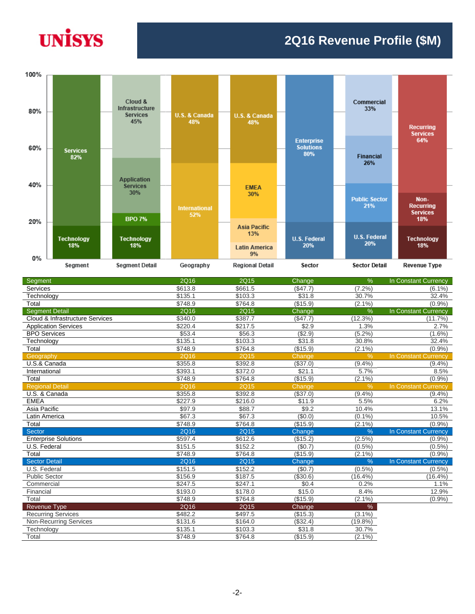## **UNISYS**

#### **2Q16 Revenue Profile (\$M)**



| Segment                         | <b>2Q16</b> | 2Q15        | Change   | $\frac{9}{6}$ | In Constant Currency        |
|---------------------------------|-------------|-------------|----------|---------------|-----------------------------|
| Services                        | \$613.8     | \$661.5     | (\$47.7) | (7.2%         | $(6.1\%)$                   |
| Technology                      | \$135.1     | \$103.3     | \$31.8   | 30.7%         | 32.4%                       |
| Total                           | \$748.9     | \$764.8     | (\$15.9) | $(2.1\%)$     | (0.9%                       |
| <b>Segment Detail</b>           | 2Q16        | 2Q15        | Change   | %             | In Constant Currency        |
| Cloud & Infrastructure Services | \$340.0     | \$387.7     | (\$47.7) | (12.3%)       | (11.7%)                     |
| <b>Application Services</b>     | \$220.4     | \$217.5     | \$2.9    | 1.3%          | 2.7%                        |
| <b>BPO Services</b>             | \$53.4      | \$56.3      | (\$2.9)  | (5.2%)        | $(1.6\%)$                   |
| Technology                      | \$135.1     | \$103.3     | \$31.8   | 30.8%         | 32.4%                       |
| Total                           | \$748.9     | \$764.8     | (\$15.9) | $(2.1\%)$     | (0.9%                       |
| Geography                       | <b>2Q16</b> | <b>2Q15</b> | Change   | $\frac{9}{6}$ | <b>In Constant Currency</b> |
| U.S.& Canada                    | \$355.8     | \$392.8     | (\$37.0) | (9.4%         | $(9.4\%)$                   |
| International                   | \$393.1     | \$372.0     | \$21.1   | 5.7%          | 8.5%                        |
| Total                           | \$748.9     | \$764.8     | (\$15.9) | $(2.1\%)$     | (0.9%                       |
| <b>Regional Detail</b>          | <b>2Q16</b> | <b>2Q15</b> | Change   | $\%$          | In Constant Currency        |
| U.S. & Canada                   | \$355.8     | \$392.8     | (\$37.0) | (9.4%         | (9.4%                       |
| <b>EMEA</b>                     | \$227.9     | \$216.0     | \$11.9   | 5.5%          | 6.2%                        |
| Asia Pacific                    | \$97.9      | \$88.7      | \$9.2    | 10.4%         | 13.1%                       |
| Latin America                   | \$67.3      | \$67.3      | (\$0.0)  | (0.1%         | 10.5%                       |
| Total                           | \$748.9     | \$764.8     | (\$15.9) | $(2.1\%)$     | (0.9%                       |
| Sector                          | <b>2Q16</b> | <b>2Q15</b> | Change   | $\frac{0}{6}$ | In Constant Currency        |
| <b>Enterprise Solutions</b>     | \$597.4     | \$612.6     | (\$15.2) | $(2.5\%)$     | $(0.9\%)$                   |
| U.S. Federal                    | \$151.5     | \$152.2     | (\$0.7)  | $(0.5\%)$     | $(0.5\%)$                   |
| Total                           | \$748.9     | \$764.8     | (\$15.9) | $(2.1\%)$     | (0.9%                       |
| <b>Sector Detail</b>            | <b>2Q16</b> | <b>2Q15</b> | Change   | $\frac{9}{6}$ | In Constant Currency        |
| U.S. Federal                    | \$151.5     | \$152.2     | (\$0.7)  | $(0.5\%)$     | $(0.5\%)$                   |
| <b>Public Sector</b>            | \$156.9     | \$187.5     | (\$30.6) | $(16.4\%)$    | $(16.4\%)$                  |
| Commercial                      | \$247.5     | \$247.1     | \$0.4    | 0.2%          | 1.1%                        |
| Financial                       | \$193.0     | \$178.0     | \$15.0   | 8.4%          | 12.9%                       |
| Total                           | \$748.9     | \$764.8     | (\$15.9) | $(2.1\%)$     | (0.9%                       |
| Revenue Type                    | 2Q16        | 2Q15        | Change   | %             |                             |
| <b>Recurring Services</b>       | \$482.2     | \$497.5     | (\$15.3) | $(3.1\%)$     |                             |
| <b>Non-Recurring Services</b>   | \$131.6     | \$164.0     | (\$32.4) | (19.8%)       |                             |
| Technology                      | \$135.1     | \$103.3     | \$31.8   | 30.7%         |                             |
| Total                           | \$748.9     | \$764.8     | (\$15.9) | $(2.1\%)$     |                             |